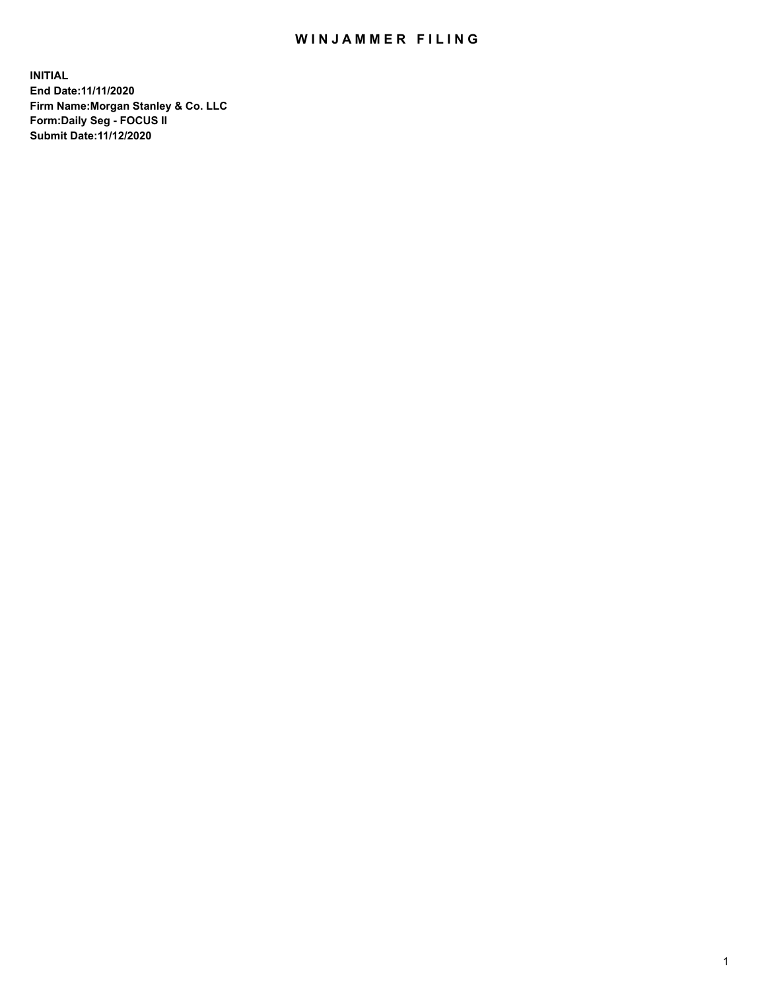## WIN JAMMER FILING

**INITIAL End Date:11/11/2020 Firm Name:Morgan Stanley & Co. LLC Form:Daily Seg - FOCUS II Submit Date:11/12/2020**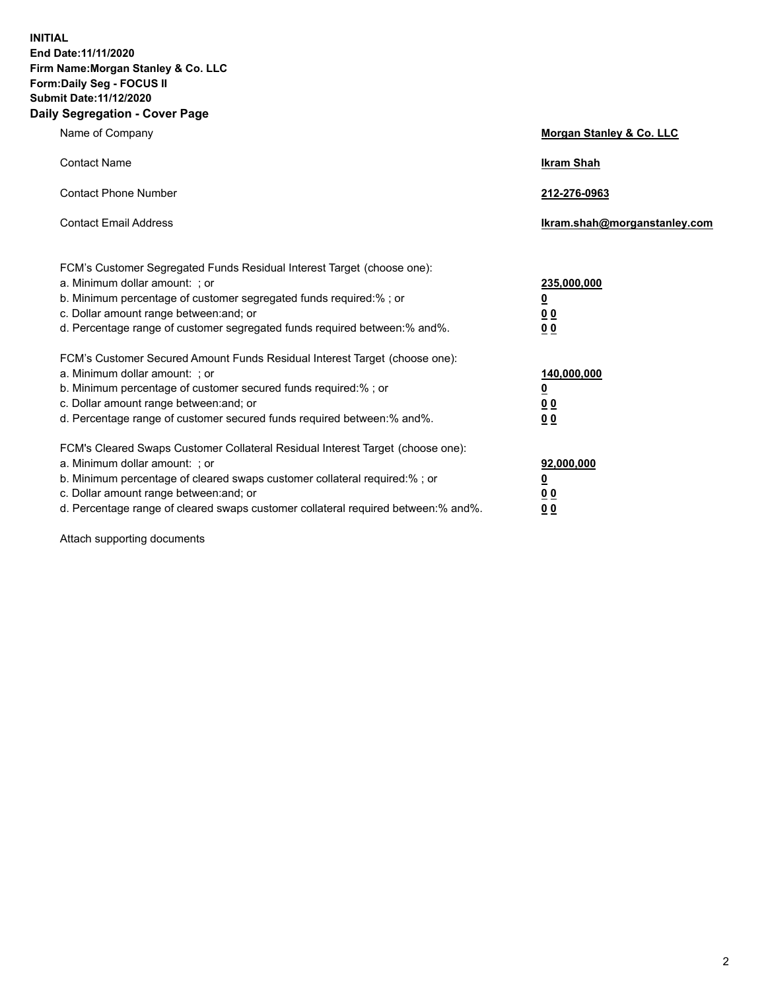**INITIAL End Date:11/11/2020 Firm Name:Morgan Stanley & Co. LLC Form:Daily Seg - FOCUS II Submit Date:11/12/2020 Daily Segregation - Cover Page**

| Name of Company                                                                                                                                                                                                                                                                                                                | Morgan Stanley & Co. LLC                               |
|--------------------------------------------------------------------------------------------------------------------------------------------------------------------------------------------------------------------------------------------------------------------------------------------------------------------------------|--------------------------------------------------------|
| <b>Contact Name</b>                                                                                                                                                                                                                                                                                                            | <b>Ikram Shah</b>                                      |
| <b>Contact Phone Number</b>                                                                                                                                                                                                                                                                                                    | 212-276-0963                                           |
| <b>Contact Email Address</b>                                                                                                                                                                                                                                                                                                   | Ikram.shah@morganstanley.com                           |
| FCM's Customer Segregated Funds Residual Interest Target (choose one):<br>a. Minimum dollar amount: ; or<br>b. Minimum percentage of customer segregated funds required:%; or<br>c. Dollar amount range between: and; or<br>d. Percentage range of customer segregated funds required between:% and%.                          | 235,000,000<br><u>0</u><br><u>00</u><br><u>00</u>      |
| FCM's Customer Secured Amount Funds Residual Interest Target (choose one):<br>a. Minimum dollar amount: ; or<br>b. Minimum percentage of customer secured funds required:%; or<br>c. Dollar amount range between: and; or<br>d. Percentage range of customer secured funds required between:% and%.                            | 140,000,000<br><u>0</u><br><u>00</u><br>0 <sub>0</sub> |
| FCM's Cleared Swaps Customer Collateral Residual Interest Target (choose one):<br>a. Minimum dollar amount: ; or<br>b. Minimum percentage of cleared swaps customer collateral required:% ; or<br>c. Dollar amount range between: and; or<br>d. Percentage range of cleared swaps customer collateral required between:% and%. | 92,000,000<br><u>0</u><br><u>00</u><br>00              |

Attach supporting documents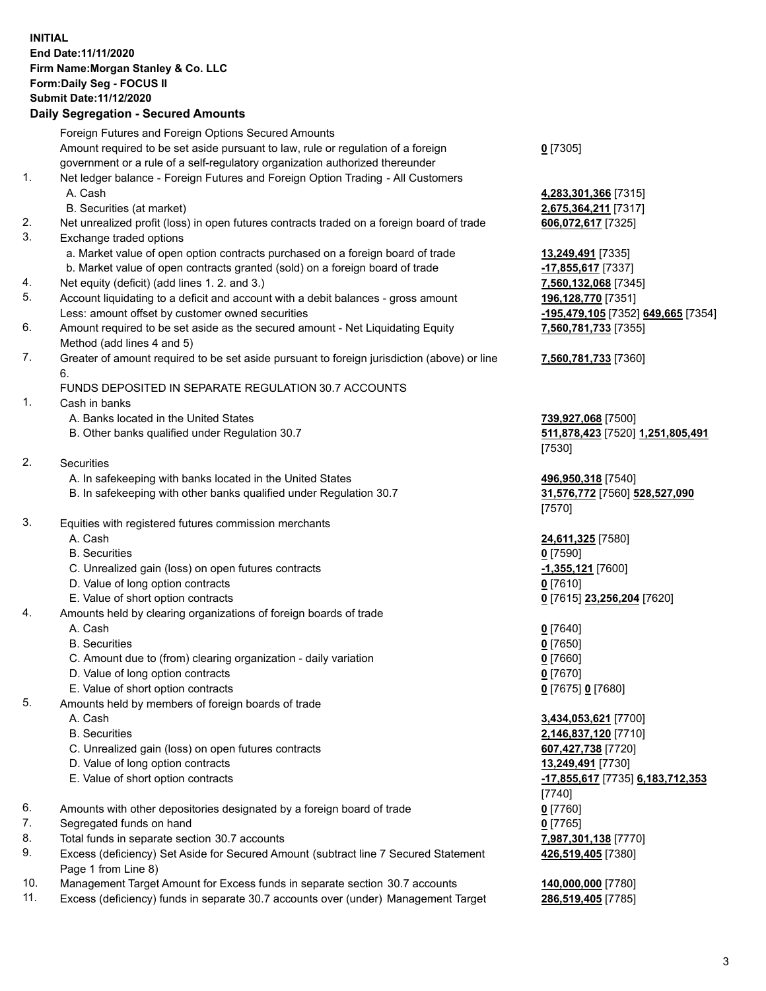## **INITIAL End Date:11/11/2020 Firm Name:Morgan Stanley & Co. LLC Form:Daily Seg - FOCUS II Submit Date:11/12/2020**

## **Daily Segregation - Secured Amounts**

|    | Foreign Futures and Foreign Options Secured Amounts                                                                                                            |                                            |
|----|----------------------------------------------------------------------------------------------------------------------------------------------------------------|--------------------------------------------|
|    | Amount required to be set aside pursuant to law, rule or regulation of a foreign                                                                               | $0$ [7305]                                 |
|    | government or a rule of a self-regulatory organization authorized thereunder                                                                                   |                                            |
| 1. | Net ledger balance - Foreign Futures and Foreign Option Trading - All Customers                                                                                |                                            |
|    | A. Cash                                                                                                                                                        | 4,283,301,366 [7315]                       |
|    | B. Securities (at market)                                                                                                                                      | 2,675,364,211 [7317]                       |
| 2. | Net unrealized profit (loss) in open futures contracts traded on a foreign board of trade                                                                      | 606,072,617 [7325]                         |
| 3. | Exchange traded options                                                                                                                                        |                                            |
|    | a. Market value of open option contracts purchased on a foreign board of trade<br>b. Market value of open contracts granted (sold) on a foreign board of trade | 13,249,491 [7335]                          |
| 4. | Net equity (deficit) (add lines 1.2. and 3.)                                                                                                                   | -17,855,617 [7337]<br>7,560,132,068 [7345] |
| 5. | Account liquidating to a deficit and account with a debit balances - gross amount                                                                              | 196,128,770 [7351]                         |
|    | Less: amount offset by customer owned securities                                                                                                               | -195,479,105 [7352] 649,665 [7354]         |
| 6. | Amount required to be set aside as the secured amount - Net Liquidating Equity                                                                                 | 7,560,781,733 [7355]                       |
|    | Method (add lines 4 and 5)                                                                                                                                     |                                            |
| 7. | Greater of amount required to be set aside pursuant to foreign jurisdiction (above) or line<br>6.                                                              | 7,560,781,733 [7360]                       |
|    | FUNDS DEPOSITED IN SEPARATE REGULATION 30.7 ACCOUNTS                                                                                                           |                                            |
| 1. | Cash in banks                                                                                                                                                  |                                            |
|    | A. Banks located in the United States                                                                                                                          | 739,927,068 [7500]                         |
|    | B. Other banks qualified under Regulation 30.7                                                                                                                 | 511,878,423 [7520] 1,251,805,491           |
|    |                                                                                                                                                                | [7530]                                     |
| 2. | Securities                                                                                                                                                     |                                            |
|    | A. In safekeeping with banks located in the United States                                                                                                      | 496,950,318 [7540]                         |
|    | B. In safekeeping with other banks qualified under Regulation 30.7                                                                                             | 31,576,772 [7560] 528,527,090<br>[7570]    |
| 3. | Equities with registered futures commission merchants                                                                                                          |                                            |
|    | A. Cash                                                                                                                                                        | 24,611,325 [7580]                          |
|    | <b>B.</b> Securities                                                                                                                                           | $0$ [7590]                                 |
|    | C. Unrealized gain (loss) on open futures contracts                                                                                                            | $-1,355,121$ [7600]                        |
|    | D. Value of long option contracts                                                                                                                              | $0$ [7610]                                 |
|    | E. Value of short option contracts                                                                                                                             | 0 [7615] 23,256,204 [7620]                 |
| 4. | Amounts held by clearing organizations of foreign boards of trade                                                                                              |                                            |
|    | A. Cash                                                                                                                                                        | $0$ [7640]                                 |
|    | <b>B.</b> Securities                                                                                                                                           | $0$ [7650]                                 |
|    | C. Amount due to (from) clearing organization - daily variation                                                                                                | $0$ [7660]                                 |
|    | D. Value of long option contracts                                                                                                                              | $0$ [7670]                                 |
| 5. | E. Value of short option contracts<br>Amounts held by members of foreign boards of trade                                                                       | 0 [7675] 0 [7680]                          |
|    | A. Cash                                                                                                                                                        | 3,434,053,621 [7700]                       |
|    | <b>B.</b> Securities                                                                                                                                           | 2,146,837,120 [7710]                       |
|    | C. Unrealized gain (loss) on open futures contracts                                                                                                            | 607,427,738 [7720]                         |
|    | D. Value of long option contracts                                                                                                                              | 13,249,491 [7730]                          |
|    | E. Value of short option contracts                                                                                                                             | -17,855,617 [7735] 6,183,712,353           |
|    |                                                                                                                                                                | $[7740]$                                   |
| 6. | Amounts with other depositories designated by a foreign board of trade                                                                                         | $0$ [7760]                                 |
| 7. | Segregated funds on hand                                                                                                                                       | $0$ [7765]                                 |
| 8. | Total funds in separate section 30.7 accounts                                                                                                                  | 7,987,301,138 [7770]                       |
| 9. | Excess (deficiency) Set Aside for Secured Amount (subtract line 7 Secured Statement                                                                            | 426,519,405 [7380]                         |
|    | Page 1 from Line 8)                                                                                                                                            |                                            |

- 10. Management Target Amount for Excess funds in separate section 30.7 accounts **140,000,000** [7780]
- 11. Excess (deficiency) funds in separate 30.7 accounts over (under) Management Target **286,519,405** [7785]

3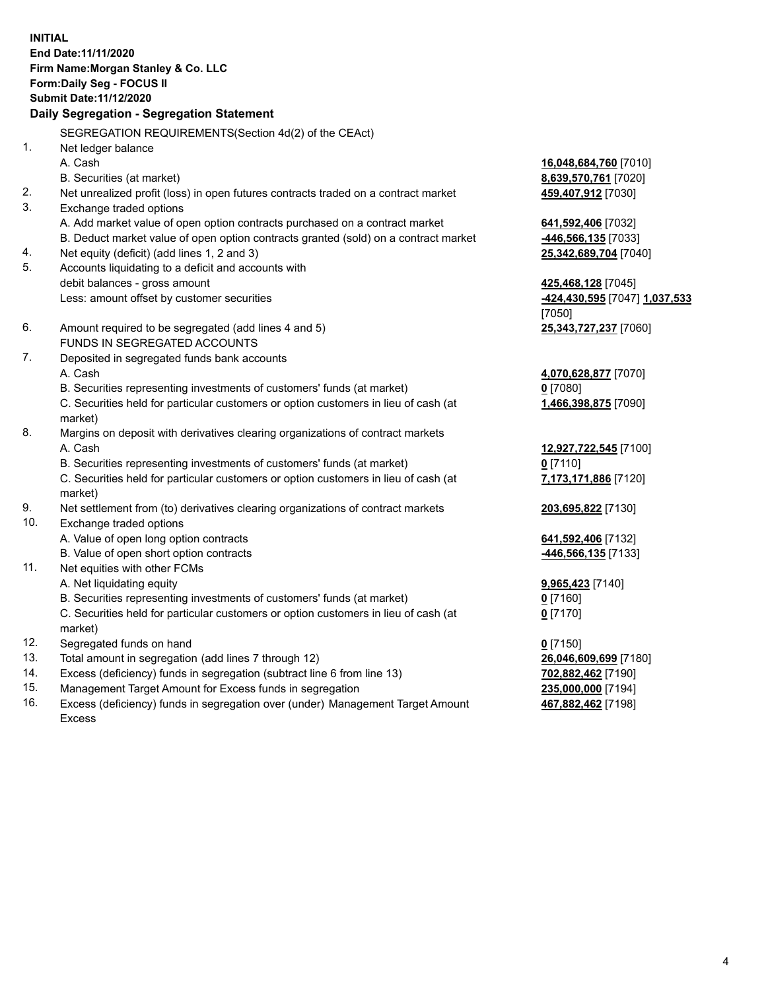**INITIAL End Date:11/11/2020 Firm Name:Morgan Stanley & Co. LLC Form:Daily Seg - FOCUS II Submit Date:11/12/2020 Daily Segregation - Segregation Statement** SEGREGATION REQUIREMENTS(Section 4d(2) of the CEAct) 1. Net ledger balance A. Cash **16,048,684,760** [7010] B. Securities (at market) **8,639,570,761** [7020] 2. Net unrealized profit (loss) in open futures contracts traded on a contract market **459,407,912** [7030] 3. Exchange traded options A. Add market value of open option contracts purchased on a contract market **641,592,406** [7032] B. Deduct market value of open option contracts granted (sold) on a contract market **-446,566,135** [7033] 4. Net equity (deficit) (add lines 1, 2 and 3) **25,342,689,704** [7040] 5. Accounts liquidating to a deficit and accounts with debit balances - gross amount **425,468,128** [7045] Less: amount offset by customer securities **-424,430,595** [7047] **1,037,533** [7050] 6. Amount required to be segregated (add lines 4 and 5) **25,343,727,237** [7060] FUNDS IN SEGREGATED ACCOUNTS 7. Deposited in segregated funds bank accounts A. Cash **4,070,628,877** [7070] B. Securities representing investments of customers' funds (at market) **0** [7080] C. Securities held for particular customers or option customers in lieu of cash (at market) **1,466,398,875** [7090] 8. Margins on deposit with derivatives clearing organizations of contract markets A. Cash **12,927,722,545** [7100] B. Securities representing investments of customers' funds (at market) **0** [7110] C. Securities held for particular customers or option customers in lieu of cash (at market) **7,173,171,886** [7120] 9. Net settlement from (to) derivatives clearing organizations of contract markets **203,695,822** [7130] 10. Exchange traded options A. Value of open long option contracts **641,592,406** [7132] B. Value of open short option contracts **-446,566,135** [7133] 11. Net equities with other FCMs A. Net liquidating equity **9,965,423** [7140] B. Securities representing investments of customers' funds (at market) **0** [7160] C. Securities held for particular customers or option customers in lieu of cash (at market) **0** [7170] 12. Segregated funds on hand **0** [7150] 13. Total amount in segregation (add lines 7 through 12) **26,046,609,699** [7180] 14. Excess (deficiency) funds in segregation (subtract line 6 from line 13) **702,882,462** [7190]

- 15. Management Target Amount for Excess funds in segregation **235,000,000** [7194]
- 16. Excess (deficiency) funds in segregation over (under) Management Target Amount Excess

**467,882,462** [7198]